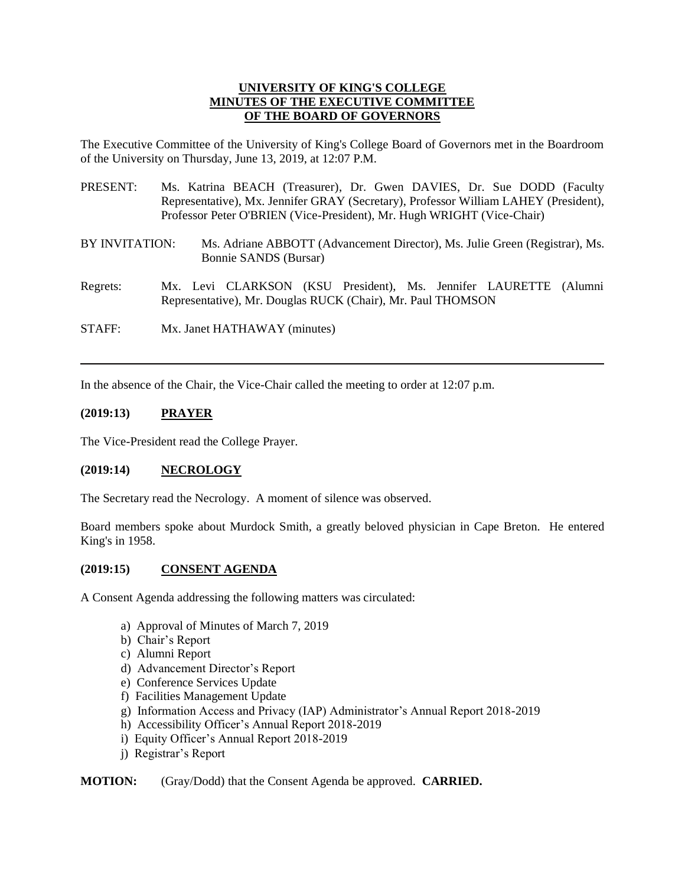#### **UNIVERSITY OF KING'S COLLEGE MINUTES OF THE EXECUTIVE COMMITTEE OF THE BOARD OF GOVERNORS**

The Executive Committee of the University of King's College Board of Governors met in the Boardroom of the University on Thursday, June 13, 2019, at 12:07 P.M.

- PRESENT: Ms. Katrina BEACH (Treasurer), Dr. Gwen DAVIES, Dr. Sue DODD (Faculty Representative), Mx. Jennifer GRAY (Secretary), Professor William LAHEY (President), Professor Peter O'BRIEN (Vice-President), Mr. Hugh WRIGHT (Vice-Chair)
- BY INVITATION: Ms. Adriane ABBOTT (Advancement Director), Ms. Julie Green (Registrar), Ms. Bonnie SANDS (Bursar)
- Regrets: Mx. Levi CLARKSON (KSU President), Ms. Jennifer LAURETTE (Alumni Representative), Mr. Douglas RUCK (Chair), Mr. Paul THOMSON

STAFF: Mx. Janet HATHAWAY (minutes)

In the absence of the Chair, the Vice-Chair called the meeting to order at 12:07 p.m.

## **(2019:13) PRAYER**

The Vice-President read the College Prayer.

## **(2019:14) NECROLOGY**

The Secretary read the Necrology. A moment of silence was observed.

Board members spoke about Murdock Smith, a greatly beloved physician in Cape Breton. He entered King's in 1958.

## **(2019:15) CONSENT AGENDA**

A Consent Agenda addressing the following matters was circulated:

- a) Approval of Minutes of March 7, 2019
- b) Chair's Report
- c) Alumni Report
- d) Advancement Director's Report
- e) Conference Services Update
- f) Facilities Management Update
- g) Information Access and Privacy (IAP) Administrator's Annual Report 2018-2019
- h) Accessibility Officer's Annual Report 2018-2019
- i) Equity Officer's Annual Report 2018-2019
- j) Registrar's Report

**MOTION:** (Gray/Dodd) that the Consent Agenda be approved. **CARRIED.**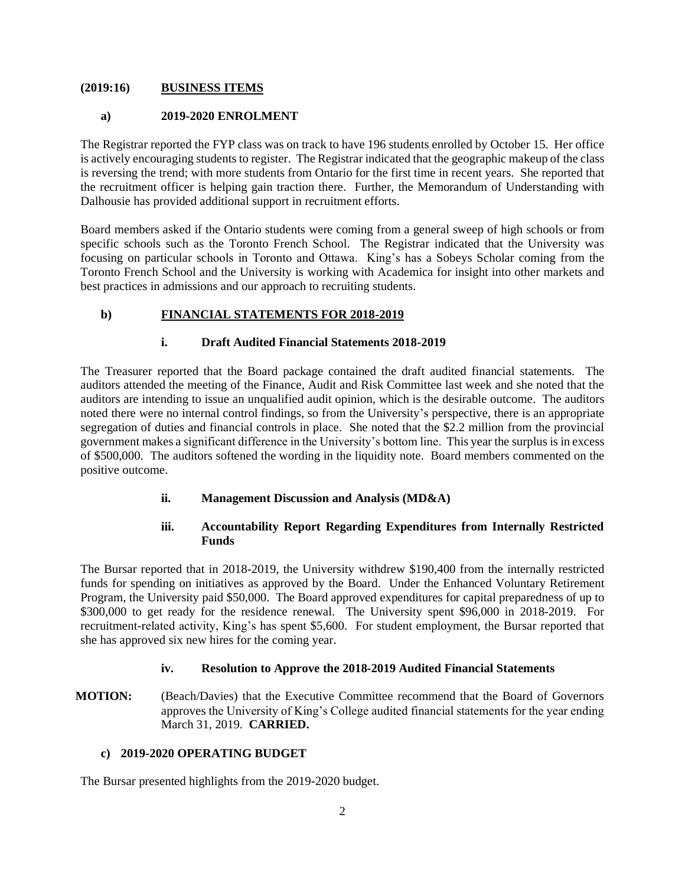#### **(2019:16) BUSINESS ITEMS**

#### **a) 2019-2020 ENROLMENT**

The Registrar reported the FYP class was on track to have 196 students enrolled by October 15. Her office is actively encouraging students to register. The Registrar indicated that the geographic makeup of the class is reversing the trend; with more students from Ontario for the first time in recent years. She reported that the recruitment officer is helping gain traction there. Further, the Memorandum of Understanding with Dalhousie has provided additional support in recruitment efforts.

Board members asked if the Ontario students were coming from a general sweep of high schools or from specific schools such as the Toronto French School. The Registrar indicated that the University was focusing on particular schools in Toronto and Ottawa. King's has a Sobeys Scholar coming from the Toronto French School and the University is working with Academica for insight into other markets and best practices in admissions and our approach to recruiting students.

# **b) FINANCIAL STATEMENTS FOR 2018-2019**

## **i. Draft Audited Financial Statements 2018-2019**

The Treasurer reported that the Board package contained the draft audited financial statements. The auditors attended the meeting of the Finance, Audit and Risk Committee last week and she noted that the auditors are intending to issue an unqualified audit opinion, which is the desirable outcome. The auditors noted there were no internal control findings, so from the University's perspective, there is an appropriate segregation of duties and financial controls in place. She noted that the \$2.2 million from the provincial government makes a significant difference in the University's bottom line. This year the surplus is in excess of \$500,000. The auditors softened the wording in the liquidity note. Board members commented on the positive outcome.

## **ii. Management Discussion and Analysis (MD&A)**

# **iii. Accountability Report Regarding Expenditures from Internally Restricted Funds**

The Bursar reported that in 2018-2019, the University withdrew \$190,400 from the internally restricted funds for spending on initiatives as approved by the Board. Under the Enhanced Voluntary Retirement Program, the University paid \$50,000. The Board approved expenditures for capital preparedness of up to \$300,000 to get ready for the residence renewal. The University spent \$96,000 in 2018-2019. For recruitment-related activity, King's has spent \$5,600. For student employment, the Bursar reported that she has approved six new hires for the coming year.

## **iv. Resolution to Approve the 2018-2019 Audited Financial Statements**

**MOTION:** (Beach/Davies) that the Executive Committee recommend that the Board of Governors approves the University of King's College audited financial statements for the year ending March 31, 2019. **CARRIED.**

## **c) 2019-2020 OPERATING BUDGET**

The Bursar presented highlights from the 2019-2020 budget.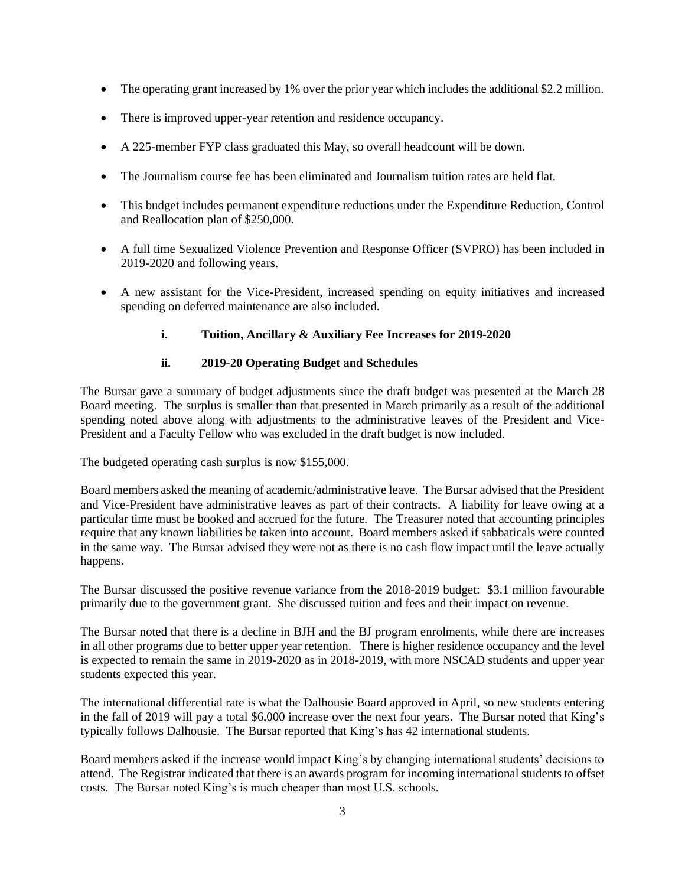- The operating grant increased by 1% over the prior year which includes the additional \$2.2 million.
- There is improved upper-year retention and residence occupancy.
- A 225-member FYP class graduated this May, so overall headcount will be down.
- The Journalism course fee has been eliminated and Journalism tuition rates are held flat.
- This budget includes permanent expenditure reductions under the Expenditure Reduction, Control and Reallocation plan of \$250,000.
- A full time Sexualized Violence Prevention and Response Officer (SVPRO) has been included in 2019-2020 and following years.
- A new assistant for the Vice-President, increased spending on equity initiatives and increased spending on deferred maintenance are also included.
	- **i. Tuition, Ancillary & Auxiliary Fee Increases for 2019-2020**

## **ii. 2019-20 Operating Budget and Schedules**

The Bursar gave a summary of budget adjustments since the draft budget was presented at the March 28 Board meeting. The surplus is smaller than that presented in March primarily as a result of the additional spending noted above along with adjustments to the administrative leaves of the President and Vice-President and a Faculty Fellow who was excluded in the draft budget is now included.

The budgeted operating cash surplus is now \$155,000.

Board members asked the meaning of academic/administrative leave. The Bursar advised that the President and Vice-President have administrative leaves as part of their contracts. A liability for leave owing at a particular time must be booked and accrued for the future. The Treasurer noted that accounting principles require that any known liabilities be taken into account. Board members asked if sabbaticals were counted in the same way. The Bursar advised they were not as there is no cash flow impact until the leave actually happens.

The Bursar discussed the positive revenue variance from the 2018-2019 budget: \$3.1 million favourable primarily due to the government grant. She discussed tuition and fees and their impact on revenue.

The Bursar noted that there is a decline in BJH and the BJ program enrolments, while there are increases in all other programs due to better upper year retention. There is higher residence occupancy and the level is expected to remain the same in 2019-2020 as in 2018-2019, with more NSCAD students and upper year students expected this year.

The international differential rate is what the Dalhousie Board approved in April, so new students entering in the fall of 2019 will pay a total \$6,000 increase over the next four years. The Bursar noted that King's typically follows Dalhousie. The Bursar reported that King's has 42 international students.

Board members asked if the increase would impact King's by changing international students' decisions to attend. The Registrar indicated that there is an awards program for incoming international students to offset costs. The Bursar noted King's is much cheaper than most U.S. schools.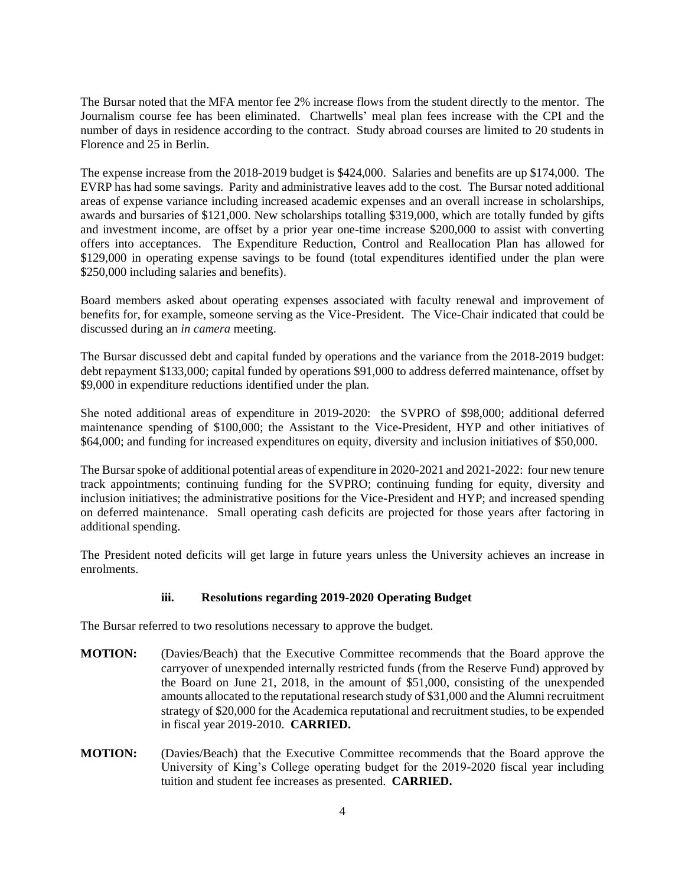The Bursar noted that the MFA mentor fee 2% increase flows from the student directly to the mentor. The Journalism course fee has been eliminated. Chartwells' meal plan fees increase with the CPI and the number of days in residence according to the contract. Study abroad courses are limited to 20 students in Florence and 25 in Berlin.

The expense increase from the 2018-2019 budget is \$424,000. Salaries and benefits are up \$174,000. The EVRP has had some savings. Parity and administrative leaves add to the cost. The Bursar noted additional areas of expense variance including increased academic expenses and an overall increase in scholarships, awards and bursaries of \$121,000. New scholarships totalling \$319,000, which are totally funded by gifts and investment income, are offset by a prior year one-time increase \$200,000 to assist with converting offers into acceptances. The Expenditure Reduction, Control and Reallocation Plan has allowed for \$129,000 in operating expense savings to be found (total expenditures identified under the plan were \$250,000 including salaries and benefits).

Board members asked about operating expenses associated with faculty renewal and improvement of benefits for, for example, someone serving as the Vice-President. The Vice-Chair indicated that could be discussed during an *in camera* meeting.

The Bursar discussed debt and capital funded by operations and the variance from the 2018-2019 budget: debt repayment \$133,000; capital funded by operations \$91,000 to address deferred maintenance, offset by \$9,000 in expenditure reductions identified under the plan.

She noted additional areas of expenditure in 2019-2020: the SVPRO of \$98,000; additional deferred maintenance spending of \$100,000; the Assistant to the Vice-President, HYP and other initiatives of \$64,000; and funding for increased expenditures on equity, diversity and inclusion initiatives of \$50,000.

The Bursar spoke of additional potential areas of expenditure in 2020-2021 and 2021-2022: four new tenure track appointments; continuing funding for the SVPRO; continuing funding for equity, diversity and inclusion initiatives; the administrative positions for the Vice-President and HYP; and increased spending on deferred maintenance. Small operating cash deficits are projected for those years after factoring in additional spending.

The President noted deficits will get large in future years unless the University achieves an increase in enrolments.

## **iii. Resolutions regarding 2019-2020 Operating Budget**

The Bursar referred to two resolutions necessary to approve the budget.

- **MOTION:** (Davies/Beach) that the Executive Committee recommends that the Board approve the carryover of unexpended internally restricted funds (from the Reserve Fund) approved by the Board on June 21, 2018, in the amount of \$51,000, consisting of the unexpended amounts allocated to the reputational research study of \$31,000 and the Alumni recruitment strategy of \$20,000 for the Academica reputational and recruitment studies, to be expended in fiscal year 2019-2010. **CARRIED.**
- **MOTION:** (Davies/Beach) that the Executive Committee recommends that the Board approve the University of King's College operating budget for the 2019-2020 fiscal year including tuition and student fee increases as presented. **CARRIED.**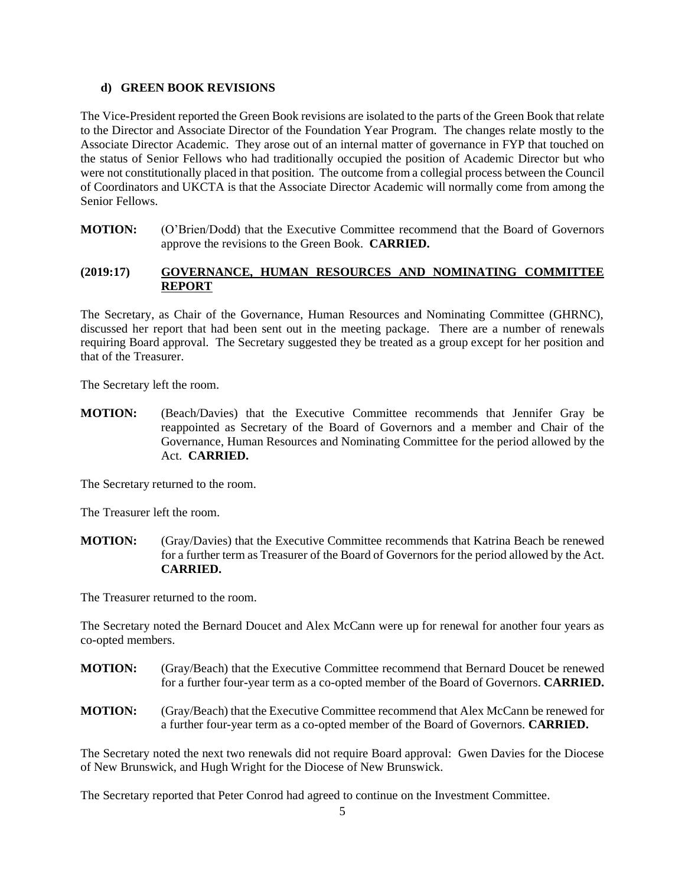#### **d) GREEN BOOK REVISIONS**

The Vice-President reported the Green Book revisions are isolated to the parts of the Green Book that relate to the Director and Associate Director of the Foundation Year Program. The changes relate mostly to the Associate Director Academic. They arose out of an internal matter of governance in FYP that touched on the status of Senior Fellows who had traditionally occupied the position of Academic Director but who were not constitutionally placed in that position. The outcome from a collegial process between the Council of Coordinators and UKCTA is that the Associate Director Academic will normally come from among the Senior Fellows.

**MOTION:** (O'Brien/Dodd) that the Executive Committee recommend that the Board of Governors approve the revisions to the Green Book. **CARRIED.**

## **(2019:17) GOVERNANCE, HUMAN RESOURCES AND NOMINATING COMMITTEE REPORT**

The Secretary, as Chair of the Governance, Human Resources and Nominating Committee (GHRNC), discussed her report that had been sent out in the meeting package. There are a number of renewals requiring Board approval. The Secretary suggested they be treated as a group except for her position and that of the Treasurer.

The Secretary left the room.

**MOTION:** (Beach/Davies) that the Executive Committee recommends that Jennifer Gray be reappointed as Secretary of the Board of Governors and a member and Chair of the Governance, Human Resources and Nominating Committee for the period allowed by the Act. **CARRIED.**

The Secretary returned to the room.

The Treasurer left the room.

**MOTION:** (Gray/Davies) that the Executive Committee recommends that Katrina Beach be renewed for a further term as Treasurer of the Board of Governors for the period allowed by the Act. **CARRIED.**

The Treasurer returned to the room.

The Secretary noted the Bernard Doucet and Alex McCann were up for renewal for another four years as co-opted members.

- **MOTION:** (Gray/Beach) that the Executive Committee recommend that Bernard Doucet be renewed for a further four-year term as a co-opted member of the Board of Governors. **CARRIED.**
- **MOTION:** (Gray/Beach) that the Executive Committee recommend that Alex McCann be renewed for a further four-year term as a co-opted member of the Board of Governors. **CARRIED.**

The Secretary noted the next two renewals did not require Board approval: Gwen Davies for the Diocese of New Brunswick, and Hugh Wright for the Diocese of New Brunswick.

The Secretary reported that Peter Conrod had agreed to continue on the Investment Committee.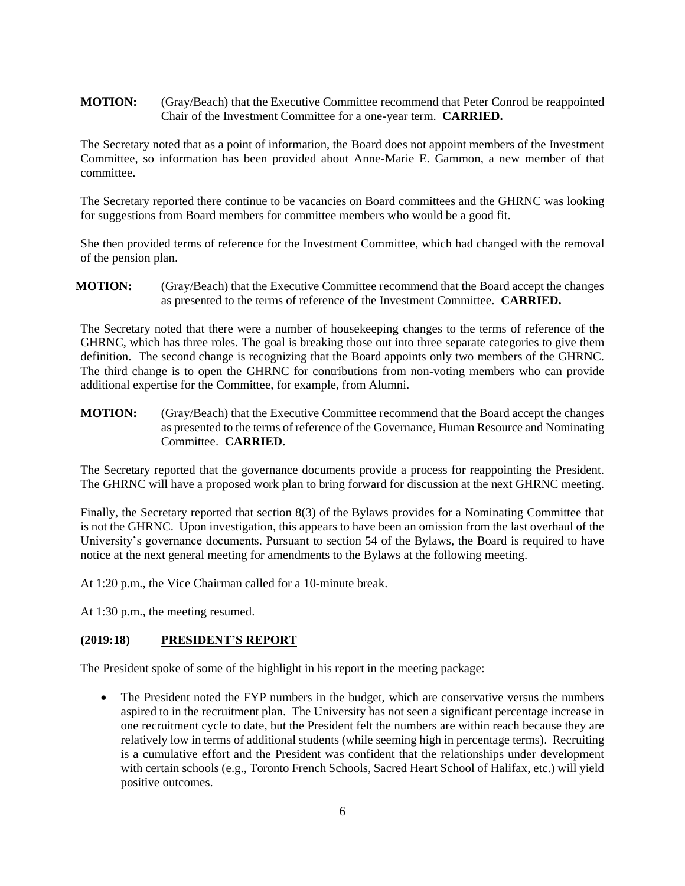## **MOTION:** (Gray/Beach) that the Executive Committee recommend that Peter Conrod be reappointed Chair of the Investment Committee for a one-year term. **CARRIED.**

The Secretary noted that as a point of information, the Board does not appoint members of the Investment Committee, so information has been provided about Anne-Marie E. Gammon, a new member of that committee.

The Secretary reported there continue to be vacancies on Board committees and the GHRNC was looking for suggestions from Board members for committee members who would be a good fit.

She then provided terms of reference for the Investment Committee, which had changed with the removal of the pension plan.

**MOTION:** (Gray/Beach) that the Executive Committee recommend that the Board accept the changes as presented to the terms of reference of the Investment Committee. **CARRIED.**

The Secretary noted that there were a number of housekeeping changes to the terms of reference of the GHRNC, which has three roles. The goal is breaking those out into three separate categories to give them definition. The second change is recognizing that the Board appoints only two members of the GHRNC. The third change is to open the GHRNC for contributions from non-voting members who can provide additional expertise for the Committee, for example, from Alumni.

**MOTION:** (Gray/Beach) that the Executive Committee recommend that the Board accept the changes as presented to the terms of reference of the Governance, Human Resource and Nominating Committee. **CARRIED.**

The Secretary reported that the governance documents provide a process for reappointing the President. The GHRNC will have a proposed work plan to bring forward for discussion at the next GHRNC meeting.

Finally, the Secretary reported that section 8(3) of the Bylaws provides for a Nominating Committee that is not the GHRNC. Upon investigation, this appears to have been an omission from the last overhaul of the University's governance documents. Pursuant to section 54 of the Bylaws, the Board is required to have notice at the next general meeting for amendments to the Bylaws at the following meeting.

At 1:20 p.m., the Vice Chairman called for a 10-minute break.

At 1:30 p.m., the meeting resumed.

## **(2019:18) PRESIDENT'S REPORT**

The President spoke of some of the highlight in his report in the meeting package:

• The President noted the FYP numbers in the budget, which are conservative versus the numbers aspired to in the recruitment plan. The University has not seen a significant percentage increase in one recruitment cycle to date, but the President felt the numbers are within reach because they are relatively low in terms of additional students (while seeming high in percentage terms). Recruiting is a cumulative effort and the President was confident that the relationships under development with certain schools (e.g., Toronto French Schools, Sacred Heart School of Halifax, etc.) will yield positive outcomes.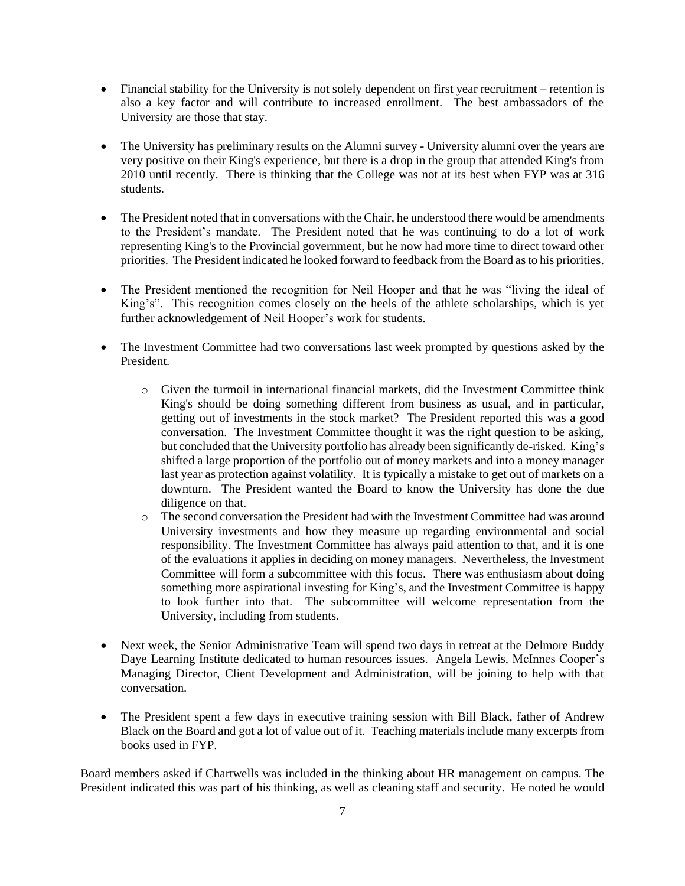- Financial stability for the University is not solely dependent on first year recruitment retention is also a key factor and will contribute to increased enrollment. The best ambassadors of the University are those that stay.
- The University has preliminary results on the Alumni survey University alumni over the years are very positive on their King's experience, but there is a drop in the group that attended King's from 2010 until recently. There is thinking that the College was not at its best when FYP was at 316 students.
- The President noted that in conversations with the Chair, he understood there would be amendments to the President's mandate. The President noted that he was continuing to do a lot of work representing King's to the Provincial government, but he now had more time to direct toward other priorities. The President indicated he looked forward to feedback from the Board as to his priorities.
- The President mentioned the recognition for Neil Hooper and that he was "living the ideal of King's". This recognition comes closely on the heels of the athlete scholarships, which is yet further acknowledgement of Neil Hooper's work for students.
- The Investment Committee had two conversations last week prompted by questions asked by the President.
	- o Given the turmoil in international financial markets, did the Investment Committee think King's should be doing something different from business as usual, and in particular, getting out of investments in the stock market? The President reported this was a good conversation. The Investment Committee thought it was the right question to be asking, but concluded that the University portfolio has already been significantly de-risked. King's shifted a large proportion of the portfolio out of money markets and into a money manager last year as protection against volatility. It is typically a mistake to get out of markets on a downturn. The President wanted the Board to know the University has done the due diligence on that.
	- o The second conversation the President had with the Investment Committee had was around University investments and how they measure up regarding environmental and social responsibility. The Investment Committee has always paid attention to that, and it is one of the evaluations it applies in deciding on money managers. Nevertheless, the Investment Committee will form a subcommittee with this focus. There was enthusiasm about doing something more aspirational investing for King's, and the Investment Committee is happy to look further into that. The subcommittee will welcome representation from the University, including from students.
- Next week, the Senior Administrative Team will spend two days in retreat at the Delmore Buddy Daye Learning Institute dedicated to human resources issues. Angela Lewis, McInnes Cooper's Managing Director, Client Development and Administration, will be joining to help with that conversation.
- The President spent a few days in executive training session with Bill Black, father of Andrew Black on the Board and got a lot of value out of it. Teaching materials include many excerpts from books used in FYP.

Board members asked if Chartwells was included in the thinking about HR management on campus. The President indicated this was part of his thinking, as well as cleaning staff and security. He noted he would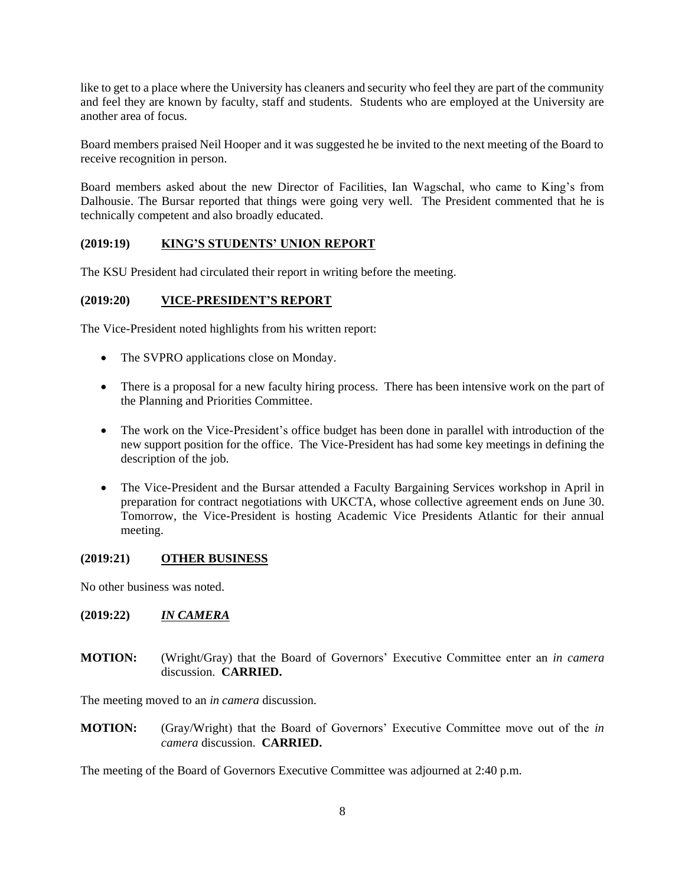like to get to a place where the University has cleaners and security who feel they are part of the community and feel they are known by faculty, staff and students. Students who are employed at the University are another area of focus.

Board members praised Neil Hooper and it was suggested he be invited to the next meeting of the Board to receive recognition in person.

Board members asked about the new Director of Facilities, Ian Wagschal, who came to King's from Dalhousie. The Bursar reported that things were going very well. The President commented that he is technically competent and also broadly educated.

## **(2019:19) KING'S STUDENTS' UNION REPORT**

The KSU President had circulated their report in writing before the meeting.

#### **(2019:20) VICE-PRESIDENT'S REPORT**

The Vice-President noted highlights from his written report:

- The SVPRO applications close on Monday.
- There is a proposal for a new faculty hiring process. There has been intensive work on the part of the Planning and Priorities Committee.
- The work on the Vice-President's office budget has been done in parallel with introduction of the new support position for the office. The Vice-President has had some key meetings in defining the description of the job.
- The Vice-President and the Bursar attended a Faculty Bargaining Services workshop in April in preparation for contract negotiations with UKCTA, whose collective agreement ends on June 30. Tomorrow, the Vice-President is hosting Academic Vice Presidents Atlantic for their annual meeting.

#### **(2019:21) OTHER BUSINESS**

No other business was noted.

## **(2019:22)** *IN CAMERA*

**MOTION:** (Wright/Gray) that the Board of Governors' Executive Committee enter an *in camera* discussion. **CARRIED.**

The meeting moved to an *in camera* discussion.

**MOTION:** (Gray/Wright) that the Board of Governors' Executive Committee move out of the *in camera* discussion. **CARRIED.**

The meeting of the Board of Governors Executive Committee was adjourned at 2:40 p.m.